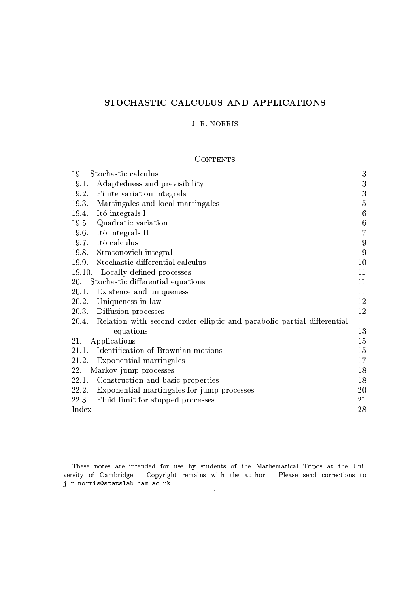# STOCHASTIC CALCULUS AND APPLICATIONS

# J. R. NORRIS

# **CONTENTS**

| 19.<br>Stochastic calculus                                                   | 3                |
|------------------------------------------------------------------------------|------------------|
| 19.1.<br>Adaptedness and previsibility                                       | 3                |
| Finite variation integrals<br>19.2.                                          | 3                |
| Martingales and local martingales<br>19.3.                                   | $\overline{5}$   |
| Itô integrals I<br>19.4.                                                     | 6                |
| Quadratic variation<br>19.5.                                                 | $\,6$            |
| 19.6. Itô integrals II                                                       | $\overline{7}$   |
| Itô calculus<br>19.7.                                                        | $\boldsymbol{9}$ |
| 19.8. Stratonovich integral                                                  | 9                |
| 19.9. Stochastic differential calculus                                       | 10               |
| 19.10. Locally defined processes                                             | 11               |
| 20.<br>Stochastic differential equations                                     | 11               |
| 20.1.<br>Existence and uniqueness                                            | 11               |
| 20.2.<br>Uniqueness in law                                                   | 12               |
| Diffusion processes<br>20.3.                                                 | 12               |
| 20.4. Relation with second order elliptic and parabolic partial differential |                  |
| equations                                                                    | 13               |
| 21.<br>Applications                                                          | 15               |
| Identification of Brownian motions<br>21.1.                                  | 15               |
| 21.2.<br>Exponential martingales                                             | 17               |
| 22.<br>Markov jump processes                                                 | 18               |
| Construction and basic properties<br>22.1.                                   | 18               |
| 22.2.<br>Exponential martingales for jump processes                          | 20               |
| Fluid limit for stopped processes<br>22.3.                                   | 21               |
| Index                                                                        | 28               |

These notes are intended for use by students of the Mathematical Tripos at the University of Cambridge. Copyright remains with the author. Please send corrections to j.r.norris@statslab.cam.ac.uk.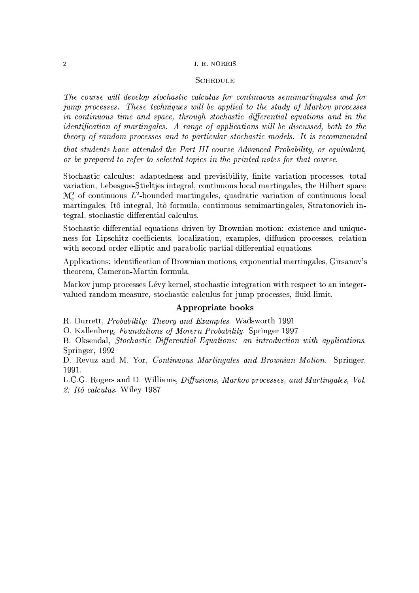#### J. R. NORRIS

# **SCHEDULE**

The course will develop stochastic calculus for continuous semimartingales and for jump processes. These techniques will be applied to the study of Markov processes in continuous time and space, through stochastic differential equations and in the *identification of martingales. A range of applications will be discussed, both to the* theory of random processes and to particular stochastic models. It is recommended

that students have attended the Part III course Advanced Probability, or equivalent, or be prepared to refer to selected topics in the printed notes for that course.

Stochastic calculus: adaptedness and previsibility, finite variation processes, total variation, Lebesgue-Stieltjes integral, continuous local martingales, the Hilbert space  $\mathcal{M}_c^2$  of continuous L<sup>2</sup>-bounded martingales, quadratic variation of continuous local martingales, Itô integral, Itô formula, continuous semimartingales, Stratonovich integral, stochastic differential calculus.

Stochastic differential equations driven by Brownian motion: existence and uniqueness for Lipschitz coefficients, localization, examples, diffusion processes, relation with second order elliptic and parabolic partial differential equations.

Applications: identification of Brownian motions, exponential martingales, Girsanov's theorem, Cameron-Martin formula.

Markov jump processes Lévy kernel, stochastic integration with respect to an integervalued random measure, stochastic calculus for jump processes, fluid limit.

### Appropriate books

R. Durrett, Probability: Theory and Examples. Wadsworth 1991

O. Kallenberg, Foundations of Morern Probability. Springer 1997

B. Oksendal, Stochastic Differential Equations: an introduction with applications. Springer, 1992

D. Revuz and M. Yor, *Continuous Martingales and Brownian Motion*. Springer, 1991.

L.C.G. Rogers and D. Williams, *Diffusions, Markov processes, and Martingales, Vol.* 2: Itô calculus. Wiley 1987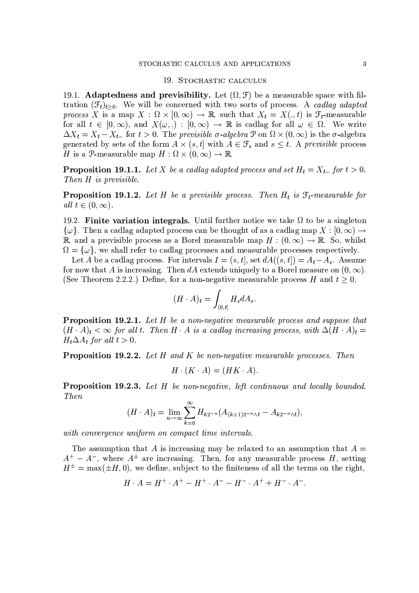#### 19. STOCHASTIC CALCULUS

19.1. Adaptedness and previsibility. Let  $(\Omega, \mathcal{F})$  be a measurable space with filtration  $(\mathcal{F}_t)_{t>0}$ . We will be concerned with two sorts of process. A cadlag adapted process X is a map  $X : \Omega \times [0, \infty) \to \mathbb{R}$ , such that  $X_t = X(., t)$  is  $\mathcal{F}_t$ -measurable for all  $t \in [0, \infty)$ , and  $X(\omega,.) : [0, \infty) \to \mathbb{R}$  is cadlag for all  $\omega \in \Omega$ . We write  $\Delta X_t = X_t - X_{t-}$  for  $t > 0$ . The previsible  $\sigma$ -algebra  $\mathcal{P}$  on  $\Omega \times (0, \infty)$  is the  $\sigma$ -algebra generated by sets of the form  $A \times (s, t]$  with  $A \in \mathcal{F}_s$  and  $s \leq t$ . A previsible process H is a P-measurable map  $H : \Omega \times (0, \infty) \to \mathbb{R}$ .

**Proposition 19.1.1.** Let X be a cadlag adapted process and set  $H_t = X_{t-}$  for  $t > 0$ . Then  $H$  is previsible.

**Proposition 19.1.2.** Let H be a previsible process. Then  $H_t$  is  $\mathcal{F}_t$ -measurable for all  $t \in (0, \infty)$ .

19.2. Finite variation integrals. Until further notice we take  $\Omega$  to be a singleton  $\{\omega\}$ . Then a cadlag adapted process can be thought of as a cadlag map  $X:[0,\infty)\to\mathbb{R}$ R, and a previsible process as a Borel measurable map  $H : (0, \infty) \to \mathbb{R}$ . So, whilst  $\Omega = {\omega}$ , we shall refer to cadlag processes and measurable processes respectively.

Let A be a cadlag process. For intervals  $I = (s, t]$ , set  $dA((s, t]) = A_t - A_s$ . Assume for now that A is increasing. Then dA extends uniquely to a Borel measure on  $(0, \infty)$ . (See Theorem 2.2.2.) Define, for a non-negative measurable process H and  $t \geq 0$ ,

$$
(H \cdot A)_t = \int_{(0,t]} H_s dA_s
$$

**Proposition 19.2.1.** Let H be a non-negative measurable process and suppose that  $(H \cdot A)_t < \infty$  for all t. Then H  $\cdot$  A is a cadlag increasing process, with  $\Delta (H \cdot A)_t =$  $H_t \Delta A_t$  for all  $t > 0$ .

**Proposition 19.2.2.** Let H and K be non-negative measurable processes. Then

$$
H \cdot (K \cdot A) = (HK \cdot A).
$$

**Proposition 19.2.3.** Let H be non-negative, left continuous and locally bounded. Then

$$
(H \cdot A)_t = \lim_{n \to \infty} \sum_{k=0}^{\infty} H_{k2^{-n}} (A_{(k+1)2^{-n} \wedge t} - A_{k2^{-n} \wedge t}),
$$

with convergence uniform on compact time intervals.

The assumption that A is increasing may be relaxed to an assumption that  $A =$  $A^+ - A^-$ , where  $A^{\pm}$  are increasing. Then, for any measurable process H, setting  $H^{\pm} = \max(\pm H, 0)$ , we define, subject to the finiteness of all the terms on the right,

$$
H \cdot A = H^+ \cdot A^+ - H^+ \cdot A^- - H^- \cdot A^+ + H^- \cdot A^-.
$$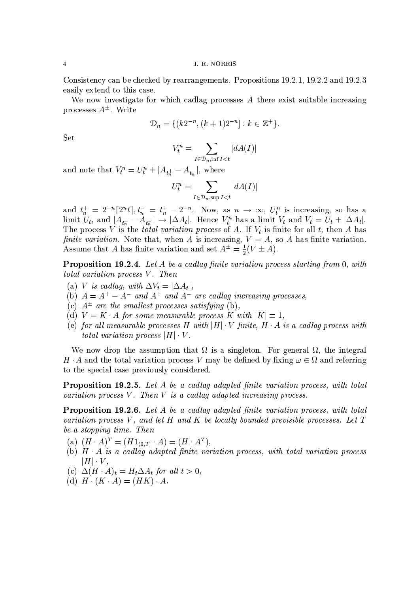J. R. NORRIS

Consistency can be checked by rearrangements. Propositions 19.2.1, 19.2.2 and 19.2.3 easily extend to this case.

We now investigate for which cadlag processes A there exist suitable increasing processes  $A^{\pm}$ . Write

$$
\mathcal{D}_n = \{ (k2^{-n}, (k+1)2^{-n}] : k \in \mathbb{Z}^+ \}.
$$

Set

$$
V_t^n = \sum_{I \in \mathcal{D}_n, \inf I < t} |dA(I)|
$$

and note that  $V_t^n = U_t^n + |A_{t_n^+} - A_{t_n^-}|$ , where

$$
U_t^n = \sum_{I \in \mathcal{D}_n, \sup I < t} |dA(I)|
$$

and  $t_n^+ = 2^{-n} [2^n t], t_n^- = t_n^+ - 2^{-n}$ . Now, as  $n \to \infty$ ,  $U_t^n$  is increasing, so has a limit  $U_t$ , and  $|A_{t_n^+} - A_{t_n^-}| \to |\Delta A_t|$ . Hence  $V_t^n$  has a limit  $V_t$  and  $V_t = U_t + |\Delta A_t|$ .<br>The process V is the *total variation process* finite variation. Note that, when A is increasing,  $V = A$ , so A has finite variation. Assume that A has finite variation and set  $A^{\pm} = \frac{1}{2}(V \pm A)$ .

**Proposition 19.2.4.** Let A be a cadlag finite variation process starting from 0, with total variation process V. Then

- (a) V is cadlag, with  $\Delta V_t = |\Delta A_t|$ ,
- (b)  $A = A^+ A^-$  and  $A^+$  and  $A^-$  are cadlag increasing processes,
- (c)  $A^{\pm}$  are the smallest processes satisfying (b).
- (d)  $V = K \cdot A$  for some measurable process K with  $|K| \equiv 1$ ,
- (e) for all measurable processes H with  $|H| \cdot V$  finite,  $H \cdot A$  is a cadlag process with total variation process  $|H| \cdot V$ .

We now drop the assumption that  $\Omega$  is a singleton. For general  $\Omega$ , the integral H  $\cdot$  A and the total variation process V may be defined by fixing  $\omega \in \Omega$  and referring to the special case previously considered.

**Proposition 19.2.5.** Let A be a cadlag adapted finite variation process, with total variation process  $V$ . Then  $V$  is a cadlag adapted increasing process.

**Proposition 19.2.6.** Let A be a cadlag adapted finite variation process, with total variation process V, and let H and K be locally bounded previsible processes. Let  $T$ be a stopping time. Then

- (a)  $(H \cdot A)^T = (H1_{(0,T]} \cdot A) = (H \cdot A^T),$
- (b)  $H \cdot A$  is a cadlag adapted finite variation process, with total variation process  $|H| \cdot V$ ,
- (c)  $\Delta (H \cdot A)_t = H_t \Delta A_t$  for all  $t > 0$ ,
- (d)  $H \cdot (K \cdot A) = (HK) \cdot A$ .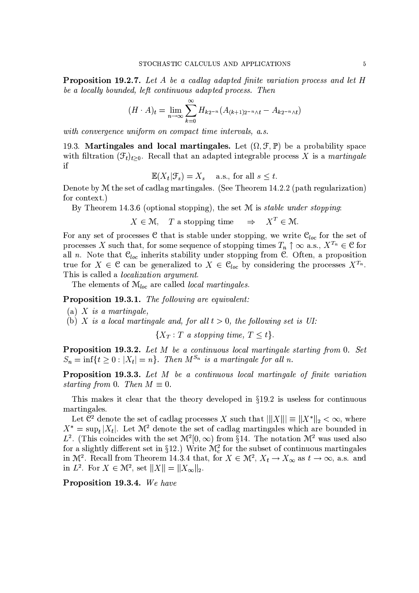**Proposition 19.2.7.** Let A be a cadlag adapted finite variation process and let H be a locally bounded, left continuous adapted process. Then

$$
(H \cdot A)_t = \lim_{n \to \infty} \sum_{k=0}^{\infty} H_{k2^{-n}} (A_{(k+1)2^{-n} \wedge t} - A_{k2^{-n} \wedge t})
$$

with convergence uniform on compact time intervals, a.s.

19.3. Martingales and local martingales. Let  $(\Omega, \mathcal{F}, \mathbb{P})$  be a probability space with filtration  $(\mathcal{F}_t)_{t>0}$ . Recall that an adapted integrable process X is a martingale  $if$ 

$$
\mathbb{E}(X_t|\mathcal{F}_s) = X_s \quad \text{a.s., for all } s \le t.
$$

Denote by M the set of cadlag martingales. (See Theorem 14.2.2 (path regularization) for context.)

By Theorem 14.3.6 (optional stopping), the set  $M$  is *stable under stopping*:

 $\Rightarrow$  $X^T \in \mathcal{M}$  $X \in \mathcal{M}$ , T a stopping time

For any set of processes C that is stable under stopping, we write  $C_{loc}$  for the set of processes X such that, for some sequence of stopping times  $T_n \uparrow \infty$  a.s.,  $X^{T_n} \in \mathcal{C}$  for all n. Note that  $\mathcal{C}_{loc}$  inherits stability under stopping from  $\mathcal{C}$ . Often, a proposition true for  $X \in \mathcal{C}$  can be generalized to  $X \in \mathcal{C}_{loc}$  by considering the processes  $X^{T_n}$ . This is called a *localization argument*.

The elements of  $\mathcal{M}_{loc}$  are called *local martingales*.

Proposition 19.3.1. The following are equivalent:

(a) X is a martingale,

(b) X is a local martingale and, for all  $t > 0$ , the following set is UI:

 $\{X_T : T \text{ a stopping time}, T \leq t\}.$ 

**Proposition 19.3.2.** Let M be a continuous local martingale starting from 0. Set  $S_n = \inf\{t \geq 0 : |X_t| = n\}.$  Then  $M^{S_n}$  is a martingale for all n.

**Proposition 19.3.3.** Let M be a continuous local martingale of finite variation starting from 0. Then  $M \equiv 0$ .

This makes it clear that the theory developed in §19.2 is useless for continuous martingales.

Let  $\mathfrak{C}^2$  denote the set of cadlag processes X such that  $|||X||| \equiv ||X^*||_2 < \infty$ , where  $X^* = \sup_t |X_t|$ . Let  $\mathcal{M}^2$  denote the set of cadlag martingales which are bounded in  $L^2$ . (This coincides with the set  $\mathcal{M}^2[0,\infty)$  from §14. The notation  $\mathcal{M}^2$  was used also for a slightly different set in §12.) Write  $\mathcal{M}_c^2$  for the subset of continuous martingales in  $\mathcal{M}^2$ . Recall from Theorem 14.3.4 that, for  $X \in \mathcal{M}^2$ ,  $X_t \to X_\infty$  as  $t \to \infty$ , a.s. and in  $L^2$ . For  $X \in \mathcal{M}^2$ , set  $||X|| = ||X_{\infty}||_2$ .

Proposition 19.3.4. We have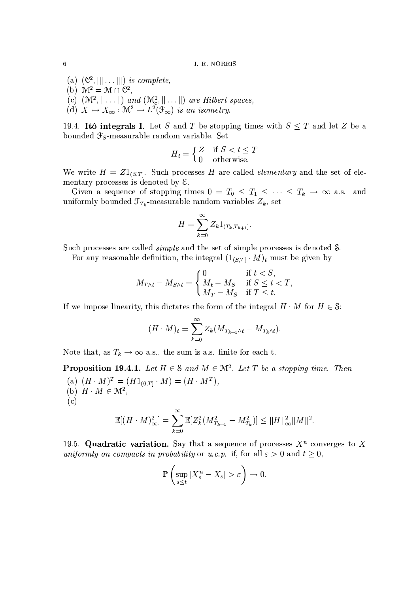- (a)  $(\mathcal{C}^2, ||| \dots |||)$  is complete,<br>(b)  $\mathcal{M}^2 = \mathcal{M} \cap \mathcal{C}^2$ ,
- 
- (c)  $(\mathcal{M}^2, \|\ldots\|)$  and  $(\mathcal{M}^2_c, \|\ldots\|)$  are Hilbert spaces,<br>(d)  $X \mapsto X_\infty : \mathcal{M}^2 \to L^2(\mathcal{F}_\infty)$  is an isometry.
- 

19.4. Itô integrals I. Let S and T be stopping times with  $S \leq T$  and let Z be a bounded  $\mathcal{F}_S$ -measurable random variable. Set

$$
H_t = \begin{cases} Z & \text{if } S < t \le T \\ 0 & \text{otherwise.} \end{cases}
$$

We write  $H = Z1_{(S,T]}$ . Such processes H are called *elementary* and the set of elementary processes is denoted by  $\mathcal{E}$ .

Given a sequence of stopping times  $0 = T_0 \leq T_1 \leq \cdots \leq T_k \to \infty$  a.s. and uniformly bounded  $\mathcal{F}_{T_k}$ -measurable random variables  $Z_k$ , set

$$
H = \sum_{k=0}^{\infty} Z_k 1_{(T_k, T_{k+1}]}
$$

Such processes are called *simple* and the set of simple processes is denoted S.

For any reasonable definition, the integral  $(1_{(S,T]} \cdot M)_t$  must be given by

$$
M_{T \wedge t} - M_{S \wedge t} = \begin{cases} 0 & \text{if } t < S, \\ M_t - M_S & \text{if } S \le t < T, \\ M_T - M_S & \text{if } T \le t. \end{cases}
$$

If we impose linearity, this dictates the form of the integral  $H \cdot M$  for  $H \in \mathcal{S}$ :

$$
(H \cdot M)_t = \sum_{k=0}^{\infty} Z_k (M_{T_{k+1} \wedge t} - M_{T_k \wedge t}).
$$

Note that, as  $T_k \to \infty$  a.s., the sum is a.s. finite for each t.

**Proposition 19.4.1.** Let  $H \in \mathcal{S}$  and  $M \in \mathcal{M}^2$ . Let T be a stopping time. Then (a)  $(H \cdot M)^T = (H1_{(0,T]} \cdot M) = (H \cdot M^T),$ (b)  $H \cdot M \in \mathcal{M}^2$ ,  $(c)$ 

$$
\mathbb{E}[(H \cdot M)_{\infty}^2] = \sum_{k=0}^{\infty} \mathbb{E}[Z_k^2(M_{T_{k+1}}^2 - M_{T_k}^2)] \leq ||H||_{\infty}^2 ||M||^2.
$$

19.5. Quadratic variation. Say that a sequence of processes  $X^n$  converges to X uniformly on compacts in probability or u.c.p. if, for all  $\varepsilon > 0$  and  $t \ge 0$ ,

$$
\mathbb{P}\left(\sup_{s\leq t}|X_s^n-X_s|>\varepsilon\right)\to 0.
$$

 $\,$  6  $\,$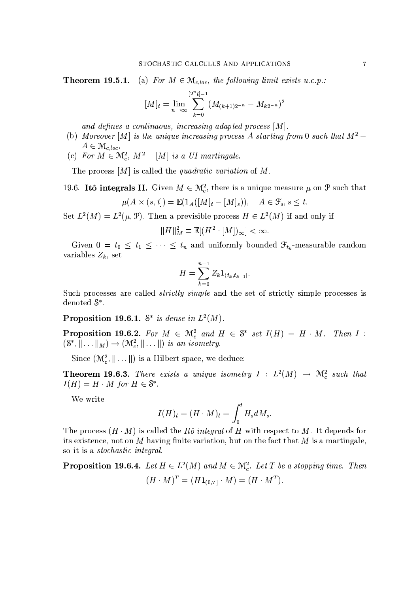(a) For  $M \in \mathcal{M}_{c, loc}$ , the following limit exists u.c.p.: Theorem 19.5.1.

$$
[M]_t = \lim_{n \to \infty} \sum_{k=0}^{\lfloor 2^n t \rfloor - 1} (M_{(k+1)2^{-n}} - M_{k2^{-n}})^2
$$

and defines a continuous, increasing adapted process  $[M]$ .

- (b) Moreover [M] is the unique increasing process A starting from 0 such that  $M^2$   $A \in \mathcal{M}_{c, loc}.$
- (c) For  $M \in \mathcal{M}_c^2$ ,  $M^2 [M]$  is a UI martingale.

The process  $[M]$  is called the *quadratic variation* of M.

19.6. Itô integrals II. Given  $M \in \mathcal{M}_c^2$ , there is a unique measure  $\mu$  on  $\mathcal P$  such that

$$
\mu(A \times (s,t]) = \mathbb{E}(1_A([M]_t - [M]_s)), \quad A \in \mathcal{F}_s, s \le t
$$

Set  $L^2(M) = L^2(\mu, \mathcal{P})$ . Then a previsible process  $H \in L^2(M)$  if and only if

$$
||H||_M^2 \equiv \mathbb{E}[(H^2 \cdot [M])_{\infty}] < \infty.
$$

Given  $0 = t_0 \leq t_1 \leq \cdots \leq t_n$  and uniformly bounded  $\mathcal{F}_{t_k}$ -measurable random variables  $Z_k$ , set

$$
H = \sum_{k=0}^{n-1} Z_k 1_{(t_k, t_{k+1}]}.
$$

Such processes are called *strictly simple* and the set of strictly simple processes is denoted  $S^*$ .

**Proposition 19.6.1.**  $S^*$  is dense in  $L^2(M)$ .

**Proposition 19.6.2.** For  $M \in \mathcal{M}_c^2$  and  $H \in \mathbb{S}^*$  set  $I(H) = H \cdot M$ . Then  $I : (\mathbb{S}^*, || \dots ||_M) \rightarrow (\mathcal{M}_c^2, || \dots ||)$  is an isometry.

Since  $(\mathcal{M}_c^2, \|\ldots\|)$  is a Hilbert space, we deduce:

**Theorem 19.6.3.** There exists a unique isometry  $I : L^2(M) \rightarrow \mathcal{M}_c^2$  such that  $I(H) = H \cdot M$  for  $H \in \mathbb{S}^*$ .

We write

$$
I(H)_t = (H \cdot M)_t = \int_0^t H_s dM_s
$$

The process  $(H \cdot M)$  is called the *Itô integral* of H with respect to M. It depends for its existence, not on M having finite variation, but on the fact that  $M$  is a martingale, so it is a *stochastic integral*.

**Proposition 19.6.4.** Let  $H \in L^2(M)$  and  $M \in \mathbb{N}_{\epsilon}^2$ . Let T be a stopping time. Then  $(H \cdot M)^T = (H1_{(0,T]} \cdot M) = (H \cdot M^T).$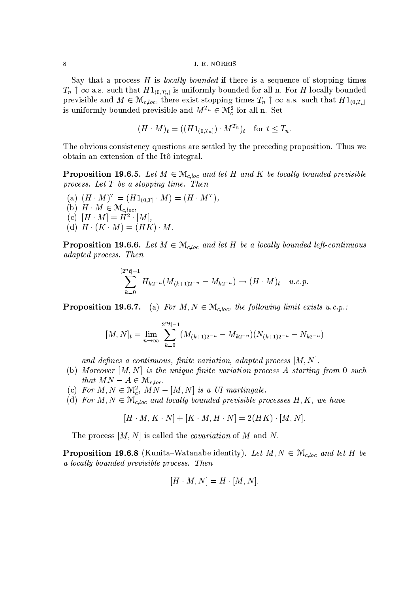Say that a process  $H$  is *locally bounded* if there is a sequence of stopping times  $T_n \uparrow \infty$  a.s. such that  $H1_{(0,T_n]}$  is uniformly bounded for all n. For H locally bounded previsible and  $M \in \mathcal{M}_{c,loc}$ , there exist stopping times  $T_n \uparrow \infty$  a.s. such that  $H1_{(0,T_n]}$ is uniformly bounded previsible and  $M^{T_n} \in \mathcal{M}_c^2$  for all n. Set

$$
(H \cdot M)_t = ((H1_{(0,T_n]}) \cdot M^{T_n})_t \quad \text{for } t \le T_n.
$$

The obvious consistency questions are settled by the preceding proposition. Thus we obtain an extension of the Itô integral.

**Proposition 19.6.5.** Let  $M \in \mathcal{M}_{c, loc}$  and let H and K be locally bounded previsible process. Let  $T$  be a stopping time. Then

(a)  $(H \cdot M)^T = (H1_{(0,T]} \cdot M) = (H \cdot M^T)$ . (b)  $H \cdot M \in \mathcal{M}_{c, loc}$ (c)  $[H \cdot M] = H^2 \cdot [M],$ (d)  $H \cdot (K \cdot M) = (HK) \cdot M$ .

**Proposition 19.6.6.** Let  $M \in \mathcal{M}_{c, loc}$  and let H be a locally bounded left-continuous *adapted process. Then* 

$$
\sum_{k=0}^{[2^n t]-1} H_{k2^{-n}}(M_{(k+1)2^{-n}} - M_{k2^{-n}}) \to (H \cdot M)_t \quad u.c.p
$$

**Proposition 19.6.7.** (a) For  $M, N \in \mathcal{M}_{c, loc}$ , the following limit exists u.c.p.:

$$
[M,N]_t = \lim_{n \to \infty} \sum_{k=0}^{[2^n t]-1} (M_{(k+1)2^{-n}} - M_{k2^{-n}}) (N_{(k+1)2^{-n}} - N_{k2^{-n}})
$$

and defines a continuous, finite variation, adapted process  $[M, N]$ .

- (b) Moreover  $[M, N]$  is the unique finite variation process A starting from 0 such that  $MN - A \in \mathcal{M}_{c,loc}$ .
- (c) For  $M, N \in \mathcal{M}_c^2$ ,  $MN [M, N]$  is a UI martingale.
- (d) For  $M, N \in \mathcal{M}_{c, loc}$  and locally bounded previsible processes H, K, we have

 $[H \cdot M, K \cdot N] + [K \cdot M, H \cdot N] = 2(HK) \cdot [M, N].$ 

The process  $[M, N]$  is called the *covariation* of M and N.

**Proposition 19.6.8** (Kunita–Watanabe identity). Let  $M, N \in \mathcal{M}_{c, loc}$  and let H be a locally bounded previsible process. Then

$$
[H \cdot M, N] = H \cdot [M, N].
$$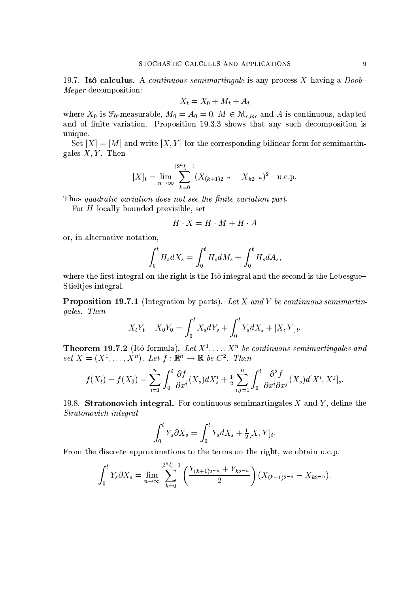19.7. Itô calculus. A *continuous semimartingale* is any process X having a  $Doob$ -*Meyer* decomposition:

$$
X_t = X_0 + M_t + A_t
$$

where  $X_0$  is  $\mathcal{F}_0$ -measurable,  $M_0 = A_0 = 0$ ,  $M \in \mathcal{M}_{c,loc}$  and A is continuous, adapted and of finite variation. Proposition 19.3.3 shows that any such decomposition is unique.

Set  $[X] = [M]$  and write  $[X, Y]$  for the corresponding bilinear form for semimartingales  $X, Y$ . Then

$$
[X]_t = \lim_{n \to \infty} \sum_{k=0}^{[2^n t]-1} (X_{(k+1)2^{-n}} - X_{k2^{-n}})^2
$$
 u.c.p.

Thus quadratic variation does not see the finite variation part.

For  $H$  locally bounded previsible, set

$$
H \cdot X = H \cdot M + H \cdot A
$$

or, in alternative notation,

$$
\int_0^t H_s dX_s = \int_0^t H_s dM_s + \int_0^t H_s dA_s,
$$

where the first integral on the right is the Itô integral and the second is the Lebesgue-Stieltjes integral.

**Proposition 19.7.1** (Integration by parts). Let X and Y be continuous semimartingales. Then

$$
X_t Y_t - X_0 Y_0 = \int_0^t X_s dY_s + \int_0^t Y_s dX_s + [X, Y]_t.
$$

**Theorem 19.7.2** (Itô formula). Let  $X^1, \ldots, X^n$  be continuous semimartingales and set  $X = (X^1, \ldots, X^n)$ . Let  $f : \mathbb{R}^n \to \mathbb{R}$  be  $C^2$ . Then

$$
f(X_t) - f(X_0) = \sum_{i=1}^n \int_0^t \frac{\partial f}{\partial x^i}(X_s) dX_s^i + \frac{1}{2} \sum_{i,j=1}^n \int_0^t \frac{\partial^2 f}{\partial x^i \partial x^j}(X_s) d[X^i, X^j]_s.
$$

19.8. Stratonovich integral. For continuous semimartingales  $X$  and  $Y$ , define the Stratonovich integral

$$
\int_0^t Y_s \partial X_s = \int_0^t Y_s dX_s + \frac{1}{2} [X, Y]_t
$$

From the discrete approximations to the terms on the right, we obtain u.c.p.

$$
\int_0^t Y_s \partial X_s = \lim_{n \to \infty} \sum_{k=0}^{\lfloor 2^{n_k} t \rfloor - 1} \left( \frac{Y_{(k+1)2^{-n}} + Y_{k2^{-n}}}{2} \right) (X_{(k+1)2^{-n}} - X_{k2^{-n}}).
$$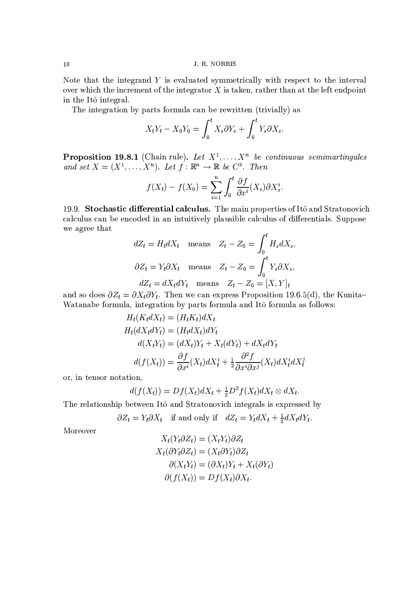#### J. R. NORRIS

Note that the integrand  $Y$  is evaluated symmetrically with respect to the interval over which the increment of the integrator  $X$  is taken, rather than at the left endpoint in the Itô integral.

The integration by parts formula can be rewritten (trivially) as

$$
X_t Y_t - X_0 Y_0 = \int_0^t X_s \partial Y_s + \int_0^t Y_s \partial X_s
$$

**Proposition 19.8.1** (Chain rule). Let  $X^1, \ldots, X^n$  be continuous semimartingales and set  $X = (X^1, \ldots, X^n)$ . Let  $f : \mathbb{R}^n \to \mathbb{R}$  be  $C^3$ . Then

$$
f(X_t) - f(X_0) = \sum_{i=1}^n \int_0^t \frac{\partial f}{\partial x^i}(X_s) \partial X_s^i.
$$

19.9. Stochastic differential calculus. The main properties of Itô and Stratonovich calculus can be encoded in an intuitively plausible calculus of differentials. Suppose we agree that

$$
dZ_t = H_t dX_t \quad \text{means} \quad Z_t - Z_0 = \int_0^t H_s dX_s,
$$
  

$$
\partial Z_t = Y_t \partial X_t \quad \text{means} \quad Z_t - Z_0 = \int_0^t Y_s \partial X_s,
$$
  

$$
dZ_t = dX_t dY_t \quad \text{means} \quad Z_t - Z_0 = [X, Y]_t
$$

and so does  $\partial Z_t = \partial X_t \partial Y_t$ . Then we can express Proposition 19.6.5(d), the Kunita-Watanabe formula, integration by parts formula and Itô formula as follows:

$$
H_t(K_t dX_t) = (H_t K_t) dX_t
$$
  
\n
$$
H_t(dX_t dY_t) = (H_t dX_t) dY_t
$$
  
\n
$$
d(X_t Y_t) = (dX_t)Y_t + X_t (dY_t) + dX_t dY_t
$$
  
\n
$$
d(f(X_t)) = \frac{\partial f}{\partial x^i}(X_t) dX_t^i + \frac{1}{2} \frac{\partial^2 f}{\partial x^i \partial x^j}(X_t) dX_t^i dX_t^j
$$

or, in tensor notation,

$$
d(f(X_t)) = Df(X_t)dX_t + \frac{1}{2}D^2f(X_t)dX_t \otimes dX_t.
$$

The relationship between Itô and Stratonovich integrals is expressed by

 $\partial Z_t = Y_t \partial X_t$  if and only if  $dZ_t = Y_t dX_t + \frac{1}{2}dX_t dY_t$ .

Moreover

$$
X_t(Y_t \partial Z_t) = (X_t Y_t) \partial Z_t
$$
  
\n
$$
X_t(\partial Y_t \partial Z_t) = (X_t \partial Y_t) \partial Z_t
$$
  
\n
$$
\partial (X_t Y_t) = (\partial X_t) Y_t + X_t(\partial Y_t)
$$
  
\n
$$
\partial (f(X_t)) = Df(X_t) \partial X_t.
$$

 $10$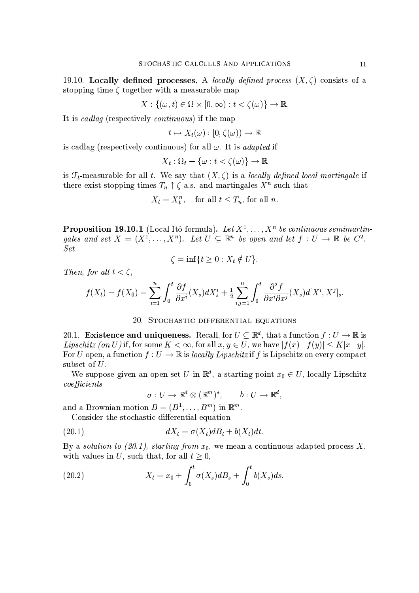19.10. Locally defined processes. A locally defined process  $(X, \zeta)$  consists of a stopping time  $\zeta$  together with a measurable map

$$
X: \{(\omega, t) \in \Omega \times [0, \infty) : t < \zeta(\omega)\} \to \mathbb{R}.
$$

It is cadlag (respectively continuous) if the map

$$
t \mapsto X_t(\omega) : [0, \zeta(\omega)) \to \mathbb{R}
$$

is cadlag (respectively continuous) for all  $\omega$ . It is *adapted* if

$$
X_t : \Omega_t \equiv \{ \omega : t < \zeta(\omega) \} \to \mathbb{R}
$$

is  $\mathcal{F}_t$ -measurable for all t. We say that  $(X,\zeta)$  is a locally defined local martingale if there exist stopping times  $T_n \uparrow \zeta$  a.s. and martingales  $X^n$  such that

$$
X_t = X_t^n, \quad \text{for all } t \le T_n, \text{ for all } n.
$$

**Proposition 19.10.1** (Local Itô formula). Let  $X^1, \ldots, X^n$  be continuous semimartingales and set  $X = (X^1, \ldots, X^n)$ . Let  $U \subseteq \mathbb{R}^n$  be open and let  $f : U \to \mathbb{R}$  be  $C^2$ . **Set** 

$$
\zeta = \inf\{t \ge 0 : X_t \notin U\}
$$

Then, for all  $t < \zeta$ ,

$$
f(X_t) - f(X_0) = \sum_{i=1}^n \int_0^t \frac{\partial f}{\partial x^i}(X_s) dX_s^i + \frac{1}{2} \sum_{i,j=1}^n \int_0^t \frac{\partial^2 f}{\partial x^i \partial x^j}(X_s) d[X_s^i, X_s^j]_s.
$$

# 20. STOCHASTIC DIFFERENTIAL EQUATIONS

20.1. **Existence and uniqueness.** Recall, for  $U \subseteq \mathbb{R}^d$ , that a function  $f : U \to \mathbb{R}$  is *Lipschitz (on U)* if, for some  $K < \infty$ , for all  $x, y \in U$ , we have  $|f(x)-f(y)| \leq K|x-y|$ . For U open, a function  $f: U \to \mathbb{R}$  is *locally Lipschitz* if f is Lipschitz on every compact subset of  $U$ .

We suppose given an open set U in  $\mathbb{R}^d$ , a starting point  $x_0 \in U$ , locally Lipschitz  $coefficients$ 

$$
\sigma: U \to \mathbb{R}^d \otimes (\mathbb{R}^m)^*, \qquad b: U \to \mathbb{R}^d,
$$

and a Brownian motion  $B = (B^1, \ldots, B^m)$  in  $\mathbb{R}^m$ .

Consider the stochastic differential equation

(20.1) 
$$
dX_t = \sigma(X_t)dB_t + b(X_t)dt.
$$

By a solution to (20.1), starting from  $x_0$ , we mean a continuous adapted process X, with values in U, such that, for all  $t \geq 0$ ,

(20.2) 
$$
X_t = x_0 + \int_0^t \sigma(X_s) dB_s + \int_0^t b(X_s) ds.
$$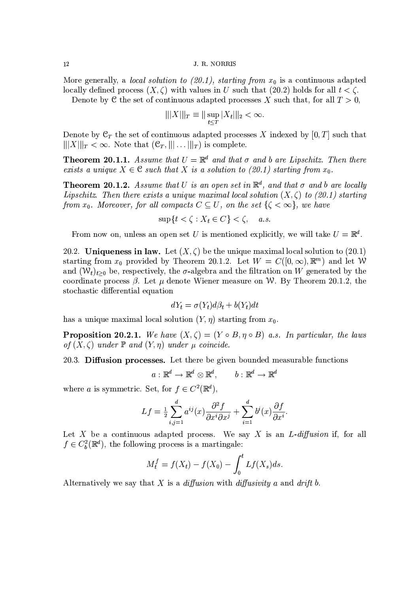More generally, a *local solution to (20.1)*, *starting from*  $x_0$  is a continuous adapted locally defined process  $(X, \zeta)$  with values in U such that (20.2) holds for all  $t < \zeta$ .

Denote by C the set of continuous adapted processes X such that, for all  $T > 0$ ,

$$
\| |X| \|_T \equiv \| \sup_{t \le T} |X_t| \|_2 < \infty.
$$

Denote by  $\mathfrak{C}_T$  the set of continuous adapted processes X indexed by [0, T] such that  $|||X||_T < \infty$ . Note that  $(\mathcal{C}_T, ||| \dots ||_T)$  is complete.

**Theorem 20.1.1.** Assume that  $U = \mathbb{R}^d$  and that  $\sigma$  and b are Lipschitz. Then there exists a unique  $X \in \mathcal{C}$  such that X is a solution to (20.1) starting from  $x_0$ .

**Theorem 20.1.2.** Assume that U is an open set in  $\mathbb{R}^d$ , and that  $\sigma$  and b are locally Lipschitz. Then there exists a unique maximal local solution  $(X, \zeta)$  to (20.1) starting from  $x_0$ . Moreover, for all compacts  $C \subseteq U$ , on the set  $\{\zeta < \infty\}$ , we have

$$
\sup\{t < \zeta : X_t \in C\} < \zeta, \quad a.s
$$

From now on, unless an open set U is mentioned explicitly, we will take  $U = \mathbb{R}^d$ .

20.2. Uniqueness in law. Let  $(X,\zeta)$  be the unique maximal local solution to (20.1) starting from  $x_0$  provided by Theorem 20.1.2. Let  $W = C([0,\infty),\mathbb{R}^m)$  and let W and  $(W_t)_{t>0}$  be, respectively, the  $\sigma$ -algebra and the filtration on W generated by the coordinate process  $\beta$ . Let  $\mu$  denote Wiener measure on W. By Theorem 20.1.2, the stochastic differential equation

$$
dY_t = \sigma(Y_t)d\beta_t + b(Y_t)dt
$$

has a unique maximal local solution  $(Y, \eta)$  starting from  $x_0$ .

**Proposition 20.2.1.** We have  $(X, \zeta) = (Y \circ B, \eta \circ B)$  a.s. In particular, the laws of  $(X, \zeta)$  under  $\mathbb P$  and  $(Y, \eta)$  under  $\mu$  coincide.

20.3. Diffusion processes. Let there be given bounded measurable functions

$$
a: \mathbb{R}^d \to \mathbb{R}^d \otimes \mathbb{R}^d, \qquad b: \mathbb{R}^d \to \mathbb{R}^d
$$

where a is symmetric. Set, for  $f \in C^2(\mathbb{R}^d)$ ,

$$
Lf = \frac{1}{2} \sum_{i,j=1}^{d} a^{ij}(x) \frac{\partial^2 f}{\partial x^i \partial x^j} + \sum_{i=1}^{d} b^i(x) \frac{\partial f}{\partial x^i}.
$$

Let X be a continuous adapted process. We say X is an  $L$ -diffusion if, for all  $f \in C_b^2(\mathbb{R}^d)$ , the following process is a martingale:

$$
M_t^f = f(X_t) - f(X_0) - \int_0^t Lf(X_s)ds
$$

Alternatively we say that  $X$  is a *diffusion* with *diffusivity*  $a$  and *drift*  $b$ .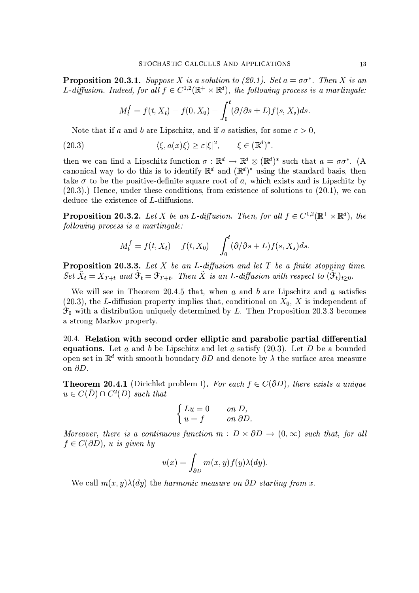**Proposition 20.3.1.** Suppose X is a solution to (20.1). Set  $a = \sigma \sigma^*$ . Then X is an L-diffusion. Indeed, for all  $f \in C^{1,2}(\mathbb{R}^+ \times \mathbb{R}^d)$ , the following process is a martingale:

$$
M_t^f = f(t, X_t) - f(0, X_0) - \int_0^t (\partial/\partial s + L) f(s, X_s) ds.
$$

Note that if a and b are Lipschitz, and if a satisfies, for some  $\varepsilon > 0$ ,

(20.3) 
$$
\langle \xi, a(x)\xi \rangle \ge \varepsilon |\xi|^2, \qquad \xi \in (\mathbb{R}^d)^*
$$

then we can find a Lipschitz function  $\sigma : \mathbb{R}^d \to \mathbb{R}^d \otimes (\mathbb{R}^d)^*$  such that  $a = \sigma \sigma^*$ . (A canonical way to do this is to identify  $\mathbb{R}^d$  and  $(\mathbb{R}^d)^*$  using the standard basis, then take  $\sigma$  to be the positive-definite square root of a, which exists and is Lipschitz by  $(20.3)$ .) Hence, under these conditions, from existence of solutions to  $(20.1)$ , we can deduce the existence of L-diffusions.

**Proposition 20.3.2.** Let X be an L-diffusion. Then, for all  $f \in C^{1,2}(\mathbb{R}^+ \times \mathbb{R}^d)$ , the following process is a martingale:

$$
M_t^f = f(t, X_t) - f(t, X_0) - \int_0^t (\partial/\partial s + L) f(s, X_s) ds.
$$

**Proposition 20.3.3.** Let X be an L-diffusion and let T be a finite stopping time. Set  $\tilde{X}_t = X_{T+t}$  and  $\tilde{\mathfrak{F}}_t = \mathfrak{F}_{T+t}$ . Then  $\tilde{X}$  is an L-diffusion with respect to  $(\tilde{\mathfrak{F}}_t)_{t>0}$ .

We will see in Theorem 20.4.5 that, when  $a$  and  $b$  are Lipschitz and  $a$  satisfies (20.3), the L-diffusion property implies that, conditional on  $X_0$ , X is independent of  $\mathcal{F}_0$  with a distribution uniquely determined by L. Then Proposition 20.3.3 becomes a strong Markov property.

20.4. Relation with second order elliptic and parabolic partial differential **equations.** Let a and b be Lipschitz and let a satisfy  $(20.3)$ . Let D be a bounded open set in  $\mathbb{R}^d$  with smooth boundary  $\partial D$  and denote by  $\lambda$  the surface area measure on  $\partial D$ .

**Theorem 20.4.1** (Dirichlet problem I). For each  $f \in C(\partial D)$ , there exists a unique  $u \in C(\overline{D}) \cap C^2(D)$  such that

$$
\begin{cases}\nLu = 0 & on D, \\
u = f & on \ \partial D.\n\end{cases}
$$

Moreover, there is a continuous function  $m : D \times \partial D \to (0, \infty)$  such that, for all  $f \in C(\partial D)$ , u is given by

$$
u(x) = \int_{\partial D} m(x, y) f(y) \lambda(dy)
$$

We call  $m(x, y) \lambda(dy)$  the harmonic measure on  $\partial D$  starting from x.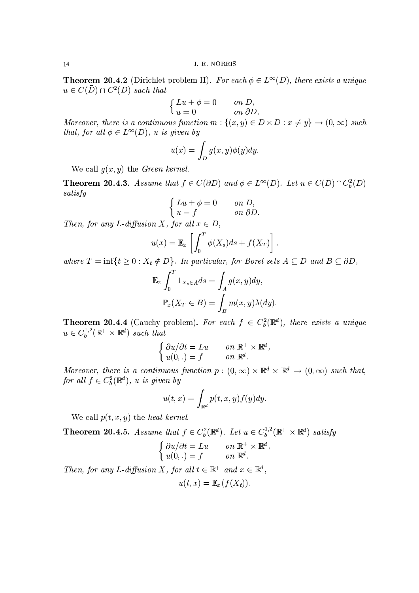**Theorem 20.4.2** (Dirichlet problem II). For each  $\phi \in L^{\infty}(D)$ , there exists a unique  $u \in C(\overline{D}) \cap C^2(D)$  such that

$$
\begin{cases}\nLu + \phi = 0 & \text{on } D, \\
u = 0 & \text{on } \partial D\n\end{cases}
$$

Moreover, there is a continuous function  $m: \{(x, y) \in D \times D : x \neq y\} \to (0, \infty)$  such that, for all  $\phi \in L^{\infty}(D)$ , u is given by

$$
u(x) = \int_D g(x, y)\phi(y)dy
$$

We call  $g(x, y)$  the *Green kernel*.

**Theorem 20.4.3.** Assume that  $f \in C(\partial D)$  and  $\phi \in L^{\infty}(D)$ . Let  $u \in C(\overline{D}) \cap C_b^2(D)$ satisfy

$$
\begin{cases} Lu + \phi = 0 & on D, \\ u = f & on \ \partial D. \end{cases}
$$

Then, for any L-diffusion X, for all  $x \in D$ ,

$$
u(x) = \mathbb{E}_x \left[ \int_0^T \phi(X_s) ds + f(X_T) \right],
$$

where  $T = \inf\{t \ge 0 : X_t \notin D\}$ . In particular, for Borel sets  $A \subseteq D$  and  $B \subseteq \partial D$ ,

$$
\mathbb{E}_x \int_0^T 1_{X_s \in A} ds = \int_A g(x, y) dy,
$$

$$
\mathbb{P}_x(X_T \in B) = \int_B m(x, y) \lambda(dy).
$$

**Theorem 20.4.4** (Cauchy problem). For each  $f \in C_b^2(\mathbb{R}^d)$ , there exists a unique  $u \in C_b^{1,2}(\mathbb{R}^+ \times \mathbb{R}^d)$  such that

$$
\begin{cases} \frac{\partial u}{\partial t} = Lu & \text{on } \mathbb{R}^+ \times \mathbb{R}^d, \\ u(0,.) = f & \text{on } \mathbb{R}^d. \end{cases}
$$

Moreover, there is a continuous function  $p:(0,\infty)\times\mathbb{R}^d\times\mathbb{R}^d\to(0,\infty)$  such that, for all  $f \in C_b^2(\mathbb{R}^d)$ , u is given by

$$
u(t,x) = \int_{\mathbb{R}^d} p(t,x,y) f(y) dy
$$

We call  $p(t, x, y)$  the heat kernel.

**Theorem 20.4.5.** Assume that  $f \in C_b^2(\mathbb{R}^d)$ . Let  $u \in C_b^{1,2}(\mathbb{R}^+ \times \mathbb{R}^d)$  satisfy

$$
\begin{cases} \frac{\partial u}{\partial t} = Lu & \text{on } \mathbb{R}^+ \times \mathbb{R}^d \\ u(0,.) = f & \text{on } \mathbb{R}^d. \end{cases}
$$

Then, for any L-diffusion X, for all  $t \in \mathbb{R}^+$  and  $x \in \mathbb{R}^d$ ,

$$
u(t,x) = \mathbb{E}_x(f(X_t))
$$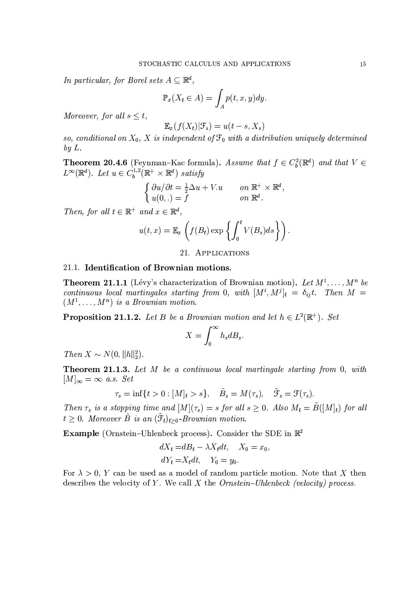In particular, for Borel sets  $A \subseteq \mathbb{R}^d$ ,

$$
\mathbb{P}_x(X_t \in A) = \int_A p(t, x, y) dy.
$$

Moreover, for all  $s \leq t$ ,

$$
\mathbb{E}_x(f(X_t)|\mathcal{F}_s) = u(t-s,X_s)
$$

so, conditional on  $X_0$ , X is independent of  $\mathcal{F}_0$  with a distribution uniquely determined  $by L.$ 

**Theorem 20.4.6** (Feynman–Kac formula). Assume that  $f \in C_b^2(\mathbb{R}^d)$  and that  $V \in L^{\infty}(\mathbb{R}^d)$ . Let  $u \in C_b^{1,2}(\mathbb{R}^+ \times \mathbb{R}^d)$  satisfy

$$
\begin{cases} \frac{\partial u}{\partial t} = \frac{1}{2} \Delta u + V \cdot u & \text{on } \mathbb{R}^+ \times \mathbb{R}^d, \\ u(0,.) = f & \text{on } \mathbb{R}^d. \end{cases}
$$

Then, for all  $t \in \mathbb{R}^+$  and  $x \in \mathbb{R}^d$ ,

$$
u(t,x) = \mathbb{E}_x\left(f(B_t)\exp\left\{\int_0^t V(B_s)ds\right\}\right)
$$

## 21. APPLICATIONS

# 21.1. Identification of Brownian motions.

**Theorem 21.1.1** (Lévy's characterization of Brownian motion). Let  $M^1, \ldots, M^n$  be continuous local martingales starting from 0, with  $[M^i, M^j]_t = \delta_{ij}t$ . Then  $M =$  $(M^1, \ldots, M^n)$  is a Brownian motion.

**Proposition 21.1.2.** Let B be a Brownian motion and let  $h \in L^2(\mathbb{R}^+)$ . Set

$$
X = \int_0^\infty h_s dB_s
$$

Then  $X \sim N(0, ||h||_2^2)$ .

**Theorem 21.1.3.** Let M be a continuous local martingale starting from 0, with  $[M]_{\infty} = \infty$  a.s. Set

$$
\tau_s = \inf\{t > 0 : [M]_t > s\}, \quad \tilde{B}_s = M(\tau_s), \quad \tilde{\mathfrak{F}}_s = \mathfrak{F}(\tau_s).
$$

Then  $\tau_s$  is a stopping time and  $[M](\tau_s) = s$  for all  $s \geq 0$ . Also  $M_t = \tilde{B}([M]_t)$  for all  $t \geq 0$ . Moreover  $\tilde{B}$  is an  $(\tilde{\mathfrak{F}}_t)_{t>0}$ -Brownian motion.

Example (Ornstein-Uhlenbeck process). Consider the SDE in  $\mathbb{R}^2$ 

$$
dX_t = dB_t - \lambda X_t dt, \quad X_0 = x_0,
$$
  

$$
dY_t = X_t dt, \quad Y_0 = y_0.
$$

For  $\lambda > 0$ , Y can be used as a model of random particle motion. Note that X then describes the velocity of Y. We call X the  $Ornstein-Uhlenbeck$  (velocity) process.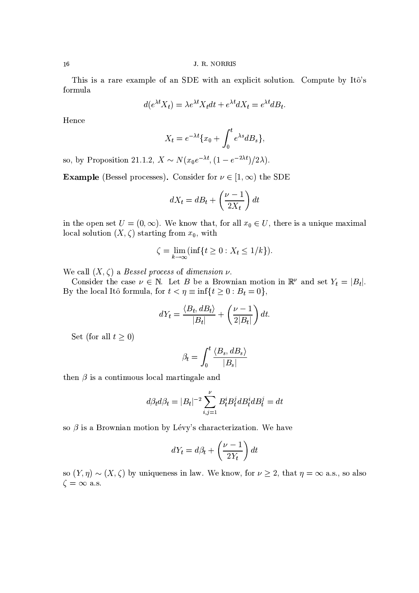This is a rare example of an SDE with an explicit solution. Compute by Itô's formula

$$
d(e^{\lambda t}X_t) = \lambda e^{\lambda t} X_t dt + e^{\lambda t} dX_t = e^{\lambda t} dB_t.
$$

Hence

$$
X_t = e^{-\lambda t} \{x_0 + \int_0^t e^{\lambda s} dB_s\},\,
$$

so, by Proposition 21.1.2,  $X \sim N(x_0 e^{-\lambda t}, (1 - e^{-2\lambda t})/2\lambda)$ .

**Example** (Bessel processes). Consider for  $\nu \in [1, \infty)$  the SDE

$$
dX_t = dB_t + \left(\frac{\nu - 1}{2X_t}\right)dt
$$

in the open set  $U = (0, \infty)$ . We know that, for all  $x_0 \in U$ , there is a unique maximal local solution  $(X, \zeta)$  starting from  $x_0$ , with

$$
\zeta = \lim_{k \to \infty} (\inf \{ t \ge 0 : X_t \le 1/k \}).
$$

We call  $(X, \zeta)$  a Bessel process of dimension  $\nu$ .

Consider the case  $\nu \in \mathbb{N}$ . Let B be a Brownian motion in  $\mathbb{R}^{\nu}$  and set  $Y_t = |B_t|$ . By the local Itô formula, for  $t < \eta \equiv \inf\{t \ge 0 : B_t = 0\}$ ,

$$
dY_t = \frac{\langle B_t, dB_t \rangle}{|B_t|} + \left(\frac{\nu - 1}{2|B_t|}\right) dt
$$

Set (for all  $t \geq 0$ )

$$
\beta_t = \int_0^t \frac{\langle B_s, dB_s \rangle}{|B_s|}
$$

then  $\beta$  is a continuous local martingale and

$$
d\beta_t d\beta_t = |B_t|^{-2} \sum_{i,j=1}^{\nu} B_t^i B_t^j dB_t^i dB_t^j = dt
$$

so  $\beta$  is a Brownian motion by Lévy's characterization. We have

$$
dY_t = d\beta_t + \left(\frac{\nu - 1}{2Y_t}\right)dt
$$

so  $(Y, \eta) \sim (X, \zeta)$  by uniqueness in law. We know, for  $\nu \geq 2$ , that  $\eta = \infty$  a.s., so also  $\zeta = \infty$  a.s.

16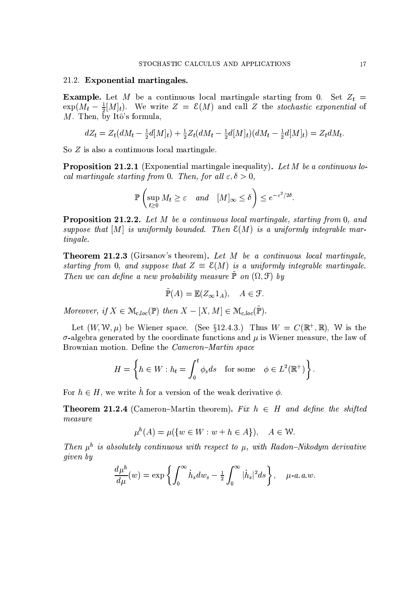#### 21.2. Exponential martingales.

**Example.** Let M be a continuous local martingale starting from 0. Set  $Z_t$  =  $\exp(M_t - \frac{1}{2}[M]_t)$ . We write  $Z = \mathcal{E}(M)$  and call Z the stochastic exponential of  $M$ . Then, by Itô's formula,

$$
dZ_t = Z_t(dM_t - \frac{1}{2}d[M]_t) + \frac{1}{2}Z_t(dM_t - \frac{1}{2}d[M]_t)(dM_t - \frac{1}{2}d[M]_t) = Z_t dM_t.
$$

So  $Z$  is also a continuous local martingale.

**Proposition 21.2.1** (Exponential martingale inequality). Let M be a continuous local martingale starting from 0. Then, for all  $\varepsilon, \delta > 0$ ,

$$
\mathbb{P}\left(\sup_{t\geq 0} M_t \geq \varepsilon \quad and \quad [M]_{\infty} \leq \delta\right) \leq e^{-\varepsilon^2/2\delta}.
$$

**Proposition 21.2.2.** Let M be a continuous local martingale, starting from 0, and suppose that  $[M]$  is uniformly bounded. Then  $\mathcal{E}(M)$  is a uniformly integrable martingale.

**Theorem 21.2.3** (Girsanov's theorem). Let  $M$  be a continuous local martingale, starting from 0, and suppose that  $Z = \mathcal{E}(M)$  is a uniformly integrable martingale. Then we can define a new probability measure  $\tilde{\mathbb{P}}$  on  $(\Omega, \mathcal{F})$  by

$$
\mathbb{P}(A) = \mathbb{E}(Z_{\infty}1_A), \quad A \in \mathcal{F}.
$$

Moreover, if  $X \in \mathcal{M}_{c, loc}(\mathbb{P})$  then  $X - [X, M] \in \mathcal{M}_{c, loc}(\tilde{\mathbb{P}})$ .

Let  $(W, W, \mu)$  be Wiener space. (See §12.4.3.) Thus  $W = C(\mathbb{R}^+, \mathbb{R})$ , W is the  $\sigma$ -algebra generated by the coordinate functions and  $\mu$  is Wiener measure, the law of Brownian motion. Define the *Cameron–Martin space* 

$$
H = \left\{ h \in W : h_t = \int_0^t \phi_s ds \quad \text{for some} \quad \phi \in L^2(\mathbb{R}^+) \right\}.
$$

For  $h \in H$ , we write h for a version of the weak derivative  $\phi$ .

**Theorem 21.2.4** (Cameron–Martin theorem). Fix  $h \in H$  and define the shifted  $measure$ 

$$
\mu^{h}(A) = \mu(\{w \in W : w + h \in A\}), \quad A \in \mathcal{W}.
$$

Then  $\mu^h$  is absolutely continuous with respect to  $\mu$ , with Radon-Nikodym derivative given by

$$
\frac{d\mu^h}{d\mu}(w) = \exp\left\{ \int_0^\infty \dot{h}_s dw_s - \frac{1}{2} \int_0^\infty |\dot{h}_s|^2 ds \right\}, \quad \mu\text{-}a.a.w.
$$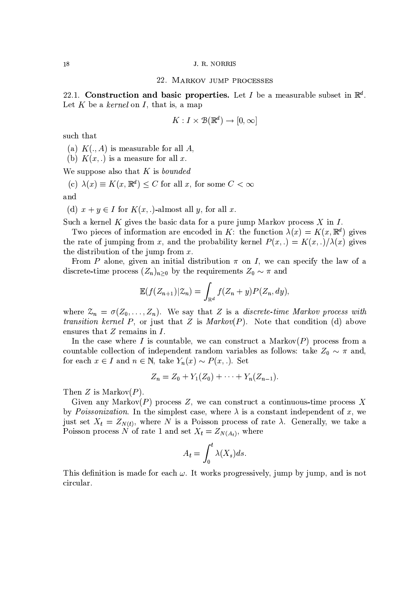#### 22. MARKOV JUMP PROCESSES

22.1. Construction and basic properties. Let I be a measurable subset in  $\mathbb{R}^d$ . Let K be a kernel on I, that is, a map

$$
K:I\times\mathcal{B}(\mathbb{R}^d)\to[0,\infty]
$$

such that

(a)  $K(., A)$  is measurable for all A,

(b)  $K(x,.)$  is a measure for all x.

We suppose also that  $K$  is *bounded* 

(c)  $\lambda(x) \equiv K(x, \mathbb{R}^d) \leq C$  for all x, for some  $C < \infty$ and

(d)  $x + y \in I$  for  $K(x, .)$ -almost all y, for all x.

Such a kernel K gives the basic data for a pure jump Markov process  $X$  in  $I$ .

Two pieces of information are encoded in K: the function  $\lambda(x) = K(x, \mathbb{R}^d)$  gives the rate of jumping from x, and the probability kernel  $P(x,.) = K(x,.)/\lambda(x)$  gives the distribution of the jump from  $x$ .

From P alone, given an initial distribution  $\pi$  on I, we can specify the law of a discrete-time process  $(Z_n)_{n>0}$  by the requirements  $Z_0 \sim \pi$  and

$$
\mathbb{E}(f(Z_{n+1})|\mathcal{Z}_n) = \int_{\mathbb{R}^d} f(Z_n + y) P(Z_n, dy).
$$

where  $\mathcal{Z}_n = \sigma(Z_0, \ldots, Z_n)$ . We say that Z is a *discrete-time Markov process with transition kernel P*, or just that Z is  $Markov(P)$ . Note that condition (d) above ensures that  $Z$  remains in  $I$ .

In the case where I is countable, we can construct a Markov $(P)$  process from a countable collection of independent random variables as follows: take  $Z_0 \sim \pi$  and, for each  $x \in I$  and  $n \in \mathbb{N}$ , take  $Y_n(x) \sim P(x,.)$ . Set

$$
Z_n = Z_0 + Y_1(Z_0) + \cdots + Y_n(Z_{n-1}).
$$

Then Z is Markov $(P)$ .

Given any Markov $(P)$  process Z, we can construct a continuous-time process X by *Poissonization*. In the simplest case, where  $\lambda$  is a constant independent of x, we just set  $X_t = Z_{N(t)}$ , where N is a Poisson process of rate  $\lambda$ . Generally, we take a Poisson process N of rate 1 and set  $X_t = Z_{N(A_t)}$ , where

$$
A_t = \int_0^t \lambda(X_s) ds.
$$

This definition is made for each  $\omega$ . It works progressively, jump by jump, and is not circular.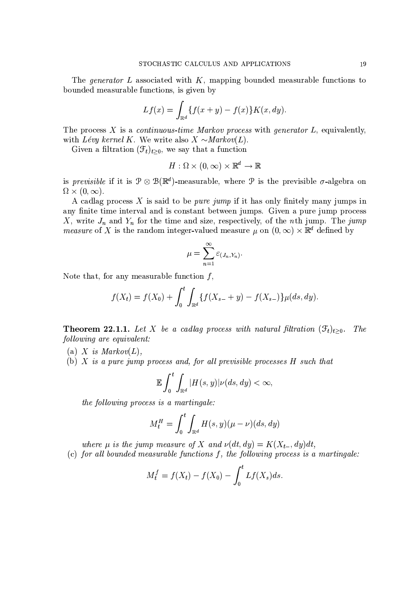The *generator* L associated with  $K$ , mapping bounded measurable functions to bounded measurable functions, is given by

$$
Lf(x) = \int_{\mathbb{R}^d} \{f(x+y) - f(x)\} K(x, dy).
$$

The process  $X$  is a *continuous-time Markov process* with *generator L*, equivalently, with Lévy kernel K. We write also  $X \sim Markov(L)$ .

Given a filtration  $(\mathcal{F}_t)_{t>0}$ , we say that a function

$$
H:\Omega\times(0,\infty)\times\mathbb{R}^d\rightarrow\mathbb{R}
$$

is *previsible* if it is  $\mathcal{P} \otimes \mathcal{B}(\mathbb{R}^d)$ -measurable, where  $\mathcal P$  is the previsible  $\sigma$ -algebra on  $\Omega \times (0,\infty).$ 

A cadlag process X is said to be *pure jump* if it has only finitely many jumps in any finite time interval and is constant between jumps. Given a pure jump process X, write  $J_n$  and  $Y_n$  for the time and size, respectively, of the *n*th jump. The *jump* measure of X is the random integer-valued measure  $\mu$  on  $(0, \infty) \times \mathbb{R}^d$  defined by

$$
\mu = \sum_{n=1}^{\infty} \varepsilon_{(J_n, Y_n)}
$$

Note that, for any measurable function  $f$ ,

$$
f(X_t) = f(X_0) + \int_0^t \int_{\mathbb{R}^d} \{f(X_{s-} + y) - f(X_{s-})\} \mu(ds, dy).
$$

**Theorem 22.1.1.** Let X be a cadlag process with natural filtration  $(\mathcal{F}_t)_{t>0}$ . The following are equivalent:

- (a) X is  $Markov(L)$ ,
- (b) X is a pure jump process and, for all previsible processes  $H$  such that

$$
\mathbb{E}\int_0^t\int_{\mathbb{R}^d}|H(s,y)|\nu(ds,dy)<\infty,
$$

the following process is a martingale:

$$
M_t^H = \int_0^t \int_{\mathbb{R}^d} H(s, y)(\mu - \nu)(ds, dy)
$$

where  $\mu$  is the jump measure of X and  $\nu(dt, dy) = K(X_{t-}, dy)dt$ ,

(c) for all bounded measurable functions  $f$ , the following process is a martingale:

$$
M_t^f = f(X_t) - f(X_0) - \int_0^t Lf(X_s)ds
$$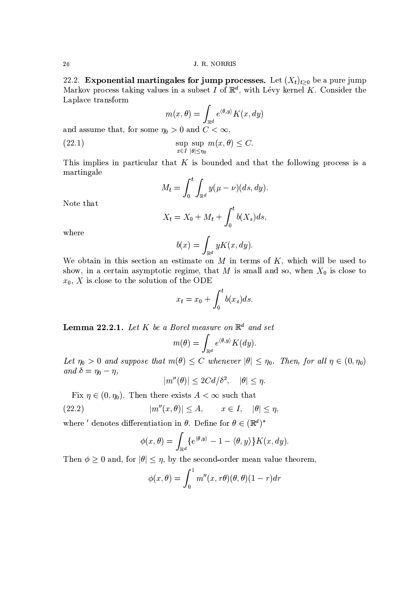22.2. **Exponential martingales for jump processes.** Let  $(X_t)_{t\geq0}$  be a pure jump Markov process taking values in a subset I of  $\mathbb{R}^d$ , with Lévy kernel K. Consider the Laplace transform

$$
m(x, \theta) = \int_{\mathbb{R}^d} e^{\langle \theta, y \rangle} K(x, dy)
$$

and assume that, for some  $\eta_0 > 0$  and  $C < \infty$ ,

(22.1) 
$$
\sup_{x \in I} \sup_{|\theta| \le \eta_0} m(x,\theta) \le C.
$$

This implies in particular that  $K$  is bounded and that the following process is a martingale

$$
M_t = \int_0^t \int_{\mathbb{R}^d} y(\mu - \nu)(ds, dy).
$$

Note that

$$
X_t = X_0 + M_t + \int_0^t b(X_s)ds,
$$

where

$$
b(x) = \int_{\mathbb{R}^d} yK(x, dy)
$$

We obtain in this section an estimate on  $M$  in terms of  $K$ , which will be used to show, in a certain asymptotic regime, that M is small and so, when  $X_0$  is close to  $x_0$ , X is close to the solution of the ODE

$$
x_t = x_0 + \int_0^t b(x_s)ds
$$

**Lemma 22.2.1.** Let K be a Borel measure on  $\mathbb{R}^d$  and set

$$
m(\theta) = \int_{\mathbb{R}^d} e^{\langle \theta, y \rangle} K(dy).
$$

Let  $\eta_0 > 0$  and suppose that  $m(\theta) \leq C$  whenever  $|\theta| \leq \eta_0$ . Then, for all  $\eta \in (0, \eta_0)$ and  $\delta = \eta_0 - \eta$ ,

$$
|m''(\theta)| \le 2Cd/\delta^2, \quad |\theta| \le \eta
$$

Fix  $\eta \in (0, \eta_0)$ . Then there exists  $A < \infty$  such that

(22.2) 
$$
|m''(x,\theta)| \leq A, \qquad x \in I, \quad |\theta| \leq \eta,
$$

where ' denotes differentiation in  $\theta$ . Define for  $\theta \in (\mathbb{R}^d)^*$ 

$$
\phi(x,\theta) = \int_{\mathbb{R}^d} \{e^{\langle \theta, y \rangle} - 1 - \langle \theta, y \rangle\} K(x, dy)
$$

Then  $\phi \geq 0$  and, for  $|\theta| \leq \eta$ , by the second-order mean value theorem,

$$
\phi(x,\theta) = \int_0^1 m''(x,r\theta)(\theta,\theta)(1-r)dr
$$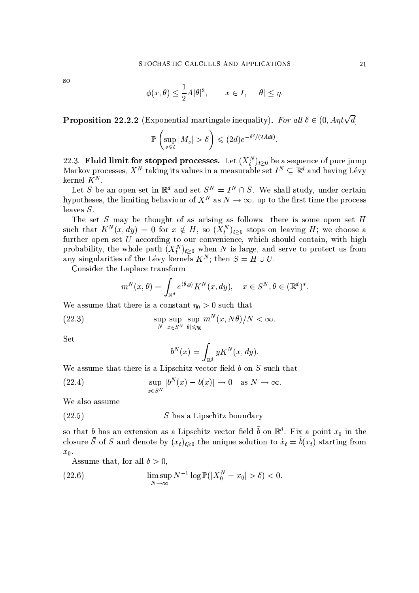<sub>SO</sub>

$$
\phi(x,\theta) \le \frac{1}{2}A|\theta|^2, \qquad x \in I, \quad |\theta| \le \eta.
$$

**Proposition 22.2.2** (Exponential martingale inequality). For all  $\delta \in (0, Ant\sqrt{d}]$ 

$$
\mathbb{P}\left(\sup_{s\leq t}|M_s|>\delta\right)\leq (2d)e^{-\delta^2/(2Adt)}
$$

22.3. **Fluid limit for stopped processes.** Let  $(X_t^N)_{t\geq0}$  be a sequence of pure jump Markov processes,  $X^N$  taking its values in a measurable set  $I^N \subseteq \mathbb{R}^d$  and having Lévy kernel  $K^N$ .

Let S be an open set in  $\mathbb{R}^d$  and set  $S^N = I^N \cap S$ . We shall study, under certain hypotheses, the limiting behaviour of  $X^N$  as  $N \to \infty$ , up to the first time the process leaves  $S$ .

The set  $S$  may be thought of as arising as follows: there is some open set  $H$ such that  $K^N(x, dy) = 0$  for  $x \notin H$ , so  $(X_t^N)_{t>0}$  stops on leaving H; we choose a further open set  $U$  according to our convenience, which should contain, with high probability, the whole path  $(X_t^N)_{t>0}$  when N is large, and serve to protect us from any singularities of the Lévy kernels  $K^N$ ; then  $S = H \cup U$ .

Consider the Laplace transform

$$
m^N(x,\theta) = \int_{\mathbb{R}^d} e^{\langle \theta, y \rangle} K^N(x, dy), \quad x \in S^N, \theta \in (\mathbb{R}^d)^*.
$$

We assume that there is a constant  $\eta_0 > 0$  such that

(22.3) 
$$
\sup_{N} \sup_{x \in S^N} \sup_{|\theta| \leq \eta_0} m^N(x, N\theta)/N < \infty.
$$

Set

$$
b^N(x) = \int_{\mathbb{R}^d} y K^N(x, dy).
$$

We assume that there is a Lipschitz vector field  $b$  on  $S$  such that

(22.4) 
$$
\sup_{x \in S^N} |b^N(x) - b(x)| \to 0 \text{ as } N \to \infty.
$$

We also assume

$$
(22.5)
$$
 *S* has a Lipschitz boundary

so that b has an extension as a Lipschitz vector field  $\tilde{b}$  on  $\mathbb{R}^d$ . Fix a point  $x_0$  in the closure  $\overline{S}$  of S and denote by  $(x_t)_{t\geq0}$  the unique solution to  $\dot{x}_t = \tilde{b}(x_t)$  starting from  $x_0$ .

Assume that, for all  $\delta > 0$ ,

(22.6) 
$$
\limsup_{N \to \infty} N^{-1} \log \mathbb{P}(|X_0^N - x_0| > \delta) < 0.
$$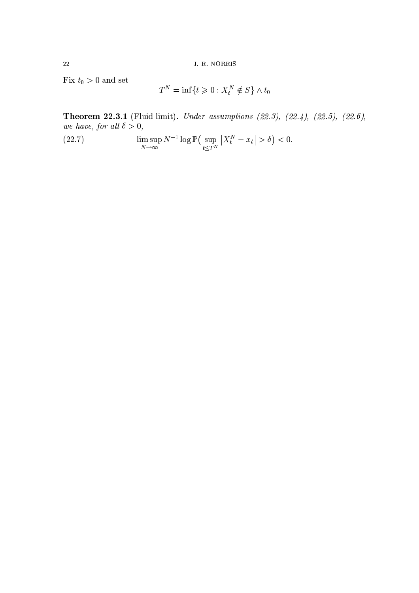Fix  $t_0 > 0$  and set

$$
T^N = \inf\{t \ge 0 : X_t^N \notin S\} \wedge t_0
$$

Theorem 22.3.1 (Fluid limit). Under assumptions (22.3), (22.4), (22.5), (22.6), we have, for all  $\delta > 0$ ,

 $\limsup_{N\to\infty}N^{-1}\log\mathbb{P}\big(\sup_{t\leq T^N}\big|X^N_t-x_t\big|>\delta\big)<0.$  $(22.7)$ 

22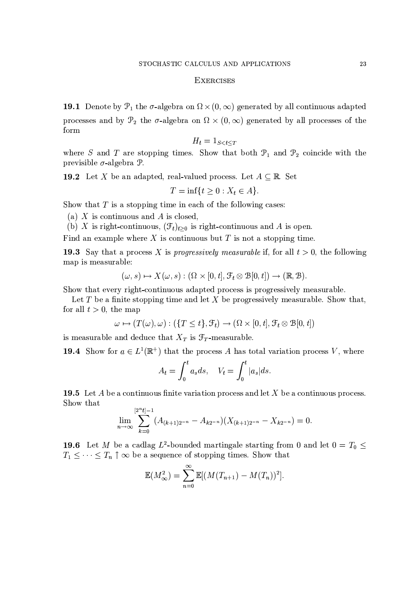#### **EXERCISES**

**19.1** Denote by  $\mathcal{P}_1$  the  $\sigma$ -algebra on  $\Omega \times (0,\infty)$  generated by all continuous adapted processes and by  $\mathcal{P}_2$  the  $\sigma$ -algebra on  $\Omega \times (0,\infty)$  generated by all processes of the form

$$
H_t = 1_{S < t < T}
$$

where S and T are stopping times. Show that both  $\mathcal{P}_1$  and  $\mathcal{P}_2$  coincide with the previsible  $\sigma$ -algebra  $\mathcal{P}$ .

**19.2** Let X be an adapted, real-valued process. Let  $A \subseteq \mathbb{R}$ . Set

$$
T = \inf\{t \ge 0 : X_t \in A\}.
$$

Show that  $T$  is a stopping time in each of the following cases:

(a) X is continuous and A is closed,

(b) X is right-continuous,  $(\mathcal{F}_t)_{t>0}$  is right-continuous and A is open.

Find an example where  $X$  is continuous but  $T$  is not a stopping time.

**19.3** Say that a process X is *progressively measurable* if, for all  $t > 0$ , the following map is measurable:

$$
(\omega, s) \mapsto X(\omega, s) : (\Omega \times [0, t], \mathcal{F}_t \otimes \mathcal{B}[0, t]) \to (\mathbb{R}, \mathcal{B}).
$$

Show that every right-continuous adapted process is progressively measurable.

Let T be a finite stopping time and let X be progressively measurable. Show that, for all  $t > 0$ , the map

$$
\omega \mapsto (T(\omega), \omega) : (\{T \leq t\}, \mathcal{F}_t) \to (\Omega \times [0, t], \mathcal{F}_t \otimes \mathcal{B}[0, t])
$$

is measurable and deduce that  $X_T$  is  $\mathcal{F}_T$ -measurable.

**19.4** Show for  $a \in L^1(\mathbb{R}^+)$  that the process A has total variation process V, where

$$
A_t = \int_0^t a_s ds, \quad V_t = \int_0^t |a_s| ds
$$

**19.5** Let A be a continuous finite variation process and let X be a continuous process. Show that

$$
\lim_{n\to\infty}\sum_{k=0}^{\lfloor 2^{n}t \rfloor -1}(A_{(k+1)2^{-n}}-A_{k2^{-n}})(X_{(k+1)2^{-n}}-X_{k2^{-n}})=0.
$$

**19.6** Let M be a cadlag  $L^2$ -bounded martingale starting from 0 and let  $0 = T_0 \leq$  $T_1 \leq \cdots \leq T_n \uparrow \infty$  be a sequence of stopping times. Show that

$$
\mathbb{E}(M_{\infty}^2)=\sum_{n=0}^{\infty}\mathbb{E}[(M(T_{n+1})-M(T_n))^2].
$$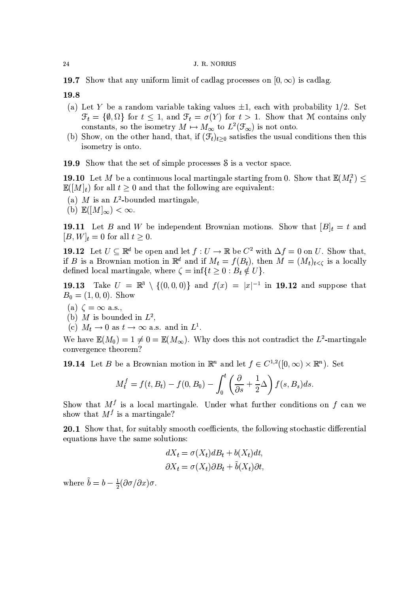**19.7** Show that any uniform limit of cadlag processes on  $[0, \infty)$  is cadlag.

19.8

- (a) Let Y be a random variable taking values  $\pm 1$ , each with probability 1/2. Set  $\mathcal{F}_t = \{\emptyset, \Omega\}$  for  $t \leq 1$ , and  $\mathcal{F}_t = \sigma(Y)$  for  $t > 1$ . Show that M contains only constants, so the isometry  $M \mapsto M_{\infty}$  to  $L^2(\mathcal{F}_{\infty})$  is not onto.
- (b) Show, on the other hand, that, if  $(\mathcal{F}_t)_{t>0}$  satisfies the usual conditions then this isometry is onto.

19.9 Show that the set of simple processes S is a vector space.

**19.10** Let M be a continuous local martingale starting from 0. Show that  $\mathbb{E}(M_t^2) \leq$  $\mathbb{E}([M]_t)$  for all  $t \geq 0$  and that the following are equivalent:

- (a) M is an  $L^2$ -bounded martingale.
- (b)  $\mathbb{E}([M]_{\infty}) < \infty$ .

**19.11** Let B and W be independent Brownian motions. Show that  $[B]_t = t$  and  $[B, W]_t = 0$  for all  $t > 0$ .

**19.12** Let  $U \subseteq \mathbb{R}^d$  be open and let  $f: U \to \mathbb{R}$  be  $C^2$  with  $\Delta f = 0$  on U. Show that, if B is a Brownian motion in  $\mathbb{R}^d$  and if  $M_t = f(B_t)$ , then  $M = (M_t)_{t < c}$  is a locally defined local martingale, where  $\zeta = \inf\{t \geq 0 : B_t \notin U\}.$ 

19.13 Take  $U = \mathbb{R}^3 \setminus \{(0,0,0)\}\$ and  $f(x) = |x|^{-1}$  in 19.12 and suppose that  $B_0 = (1, 0, 0)$ . Show

- (a)  $\zeta = \infty$  a.s.,
- (b) M is bounded in  $L^2$ ,
- (c)  $M_t \to 0$  as  $t \to \infty$  a.s. and in  $L^1$ .

We have  $\mathbb{E}(M_0) = 1 \neq 0 = \mathbb{E}(M_\infty)$ . Why does this not contradict the L<sup>2</sup>-martingale convergence theorem?

**19.14** Let B be a Brownian motion in  $\mathbb{R}^n$  and let  $f \in C^{1,2}([0,\infty) \times \mathbb{R}^n)$ . Set

$$
M_t^f = f(t, B_t) - f(0, B_0) - \int_0^t \left(\frac{\partial}{\partial s} + \frac{1}{2}\Delta\right) f(s, B_s) ds.
$$

Show that  $M<sup>f</sup>$  is a local martingale. Under what further conditions on f can we show that  $M^f$  is a martingale?

20.1 Show that, for suitably smooth coefficients, the following stochastic differential equations have the same solutions:

$$
dX_t = \sigma(X_t)dB_t + b(X_t)dt,
$$
  

$$
\partial X_t = \sigma(X_t)\partial B_t + \tilde{b}(X_t)\partial t,
$$

where  $\tilde{b} = b - \frac{1}{2} (\partial \sigma / \partial x) \sigma$ .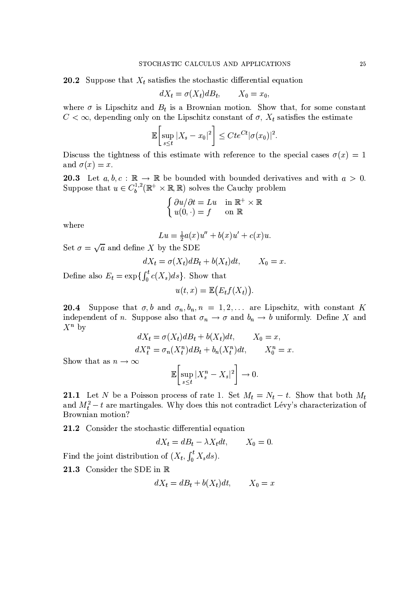**20.2** Suppose that  $X_t$  satisfies the stochastic differential equation

$$
dX_t = \sigma(X_t)dB_t, \qquad X_0 = x_0,
$$

where  $\sigma$  is Lipschitz and  $B_t$  is a Brownian motion. Show that, for some constant  $C < \infty$ , depending only on the Lipschitz constant of  $\sigma$ ,  $X_t$  satisfies the estimate

$$
\mathbb{E}\bigg[\sup_{s\leq t}|X_s-x_0|^2\bigg]\leq Cte^{Ct}|\sigma(x_0)|^2.
$$

Discuss the tightness of this estimate with reference to the special cases  $\sigma(x) = 1$ and  $\sigma(x) = x$ .

**20.3** Let  $a, b, c : \mathbb{R} \to \mathbb{R}$  be bounded with bounded derivatives and with  $a > 0$ .<br>Suppose that  $u \in C_b^{1,2}(\mathbb{R}^+ \times \mathbb{R}, \mathbb{R})$  solves the Cauchy problem

$$
\left\{ \begin{array}{ll} \partial u/\partial t = Lu & \textrm{in } \mathbb{R}^+ \times \mathbb{R} \\ u(0,\cdot) = f & \textrm{on } \mathbb{R} \end{array} \right.
$$

where

$$
Lu = \frac{1}{2}a(x)u'' + b(x)u' + c(x)u
$$

Set  $\sigma = \sqrt{a}$  and define X by the SDE

$$
dX_t = \sigma(X_t)dB_t + b(X_t)dt, \qquad X_0 = x.
$$

Define also  $E_t = \exp\{\int_0^t c(X_s)ds\}$ . Show that

$$
u(t,x) = \mathbb{E}\big(E_t f(X_t)\big)
$$

**20.4** Suppose that  $\sigma$ , b and  $\sigma$ <sub>n</sub>, b<sub>n</sub>, n = 1, 2, ... are Lipschitz, with constant K independent of n. Suppose also that  $\sigma_n \to \sigma$  and  $b_n \to b$  uniformly. Define X and  $X^n$  by  $(\mathbf{v} \setminus \mathbf{D} + \mathbf{I}(\mathbf{v})$ 

$$
dX_t = \sigma(X_t)dB_t + b(X_t)dt, \qquad X_0 = x,
$$
  

$$
dX_t^n = \sigma_n(X_t^n)dB_t + b_n(X_t^n)dt, \qquad X_0^n = x.
$$

Show that as  $n \to \infty$ 

$$
\mathbb{E}\left[\sup_{s\leq t}|X_s^n-X_s|^2\right]\to 0
$$

**21.1** Let N be a Poisson process of rate 1. Set  $M_t = N_t - t$ . Show that both  $M_t$ and  $M_t^2 - t$  are martingales. Why does this not contradict Lévy's characterization of Brownian motion?

21.2 Consider the stochastic differential equation

$$
dX_t = dB_t - \lambda X_t dt, \qquad X_0 = 0.
$$

Find the joint distribution of  $(X_t, \int_0^t X_s ds)$ .

21.3 Consider the SDE in R

$$
dX_t = dB_t + b(X_t)dt, \qquad X_0 = x
$$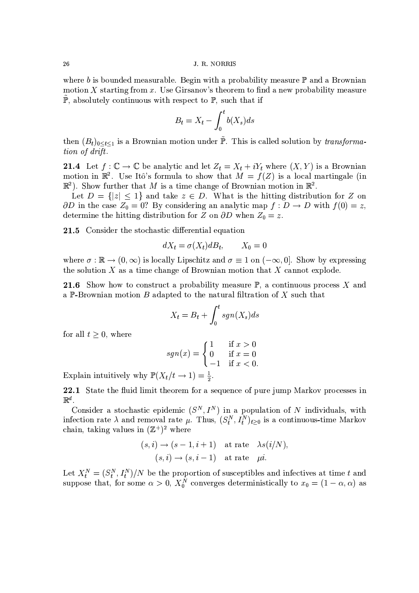where b is bounded measurable. Begin with a probability measure  $\mathbb P$  and a Brownian motion X starting from  $x$ . Use Girsanov's theorem to find a new probability measure  $\mathbb{P}$ , absolutely continuous with respect to  $\mathbb{P}$ , such that if

$$
B_t = X_t - \int_0^t b(X_s)ds
$$

then  $(B_t)_{0 \le t \le 1}$  is a Brownian motion under  $\tilde{\mathbb{P}}$ . This is called solution by *transforma*tion of drift.

**21.4** Let  $f: \mathbb{C} \to \mathbb{C}$  be analytic and let  $Z_t = X_t + iY_t$  where  $(X, Y)$  is a Brownian motion in  $\mathbb{R}^2$ . Use Itô's formula to show that  $M = f(Z)$  is a local martingale (in  $\mathbb{R}^2$ ). Show further that M is a time change of Brownian motion in  $\mathbb{R}^2$ .

Let  $D = \{|z| \leq 1\}$  and take  $z \in D$ . What is the hitting distribution for Z on  $\partial D$  in the case  $Z_0 = 0$ ? By considering an analytic map  $f : D \to D$  with  $f(0) = z$ , determine the hitting distribution for Z on  $\partial D$  when  $Z_0 = z$ .

21.5 Consider the stochastic differential equation

$$
dX_t = \sigma(X_t)dB_t, \qquad X_0 = 0
$$

where  $\sigma : \mathbb{R} \to (0, \infty)$  is locally Lipschitz and  $\sigma \equiv 1$  on  $(-\infty, 0]$ . Show by expressing the solution  $X$  as a time change of Brownian motion that  $X$  cannot explode.

**21.6** Show how to construct a probability measure  $\mathbb{P}$ , a continuous process X and a P-Brownian motion B adapted to the natural filtration of X such that

$$
X_t = B_t + \int_0^t sgn(X_s)ds
$$

for all  $t \geq 0$ , where

$$
sgn(x) = \begin{cases} 1 & \text{if } x > 0 \\ 0 & \text{if } x = 0 \\ -1 & \text{if } x < 0 \end{cases}
$$

Explain intuitively why  $\mathbb{P}(X_t/t \to 1) = \frac{1}{2}$ .

22.1 State the fluid limit theorem for a sequence of pure jump Markov processes in  $\mathbb{R}^d$ .

Consider a stochastic epidemic  $(S^N, I^N)$  in a population of N individuals, with infection rate  $\lambda$  and removal rate  $\mu$ . Thus,  $(S_t^N, I_t^N)_{t>0}$  is a continuous-time Markov chain, taking values in  $(\mathbb{Z}^+)^2$  where

$$
(s, i) \rightarrow (s - 1, i + 1)
$$
 at rate  $\lambda s(i/N)$ ,  
 $(s, i) \rightarrow (s, i - 1)$  at rate  $\mu i$ .

Let  $X_t^N = (S_t^N, I_t^N)/N$  be the proportion of susceptibles and infectives at time t and suppose that, for some  $\alpha > 0$ ,  $X_0^N$  converges deterministically to  $x_0 = (1 - \alpha, \alpha)$  as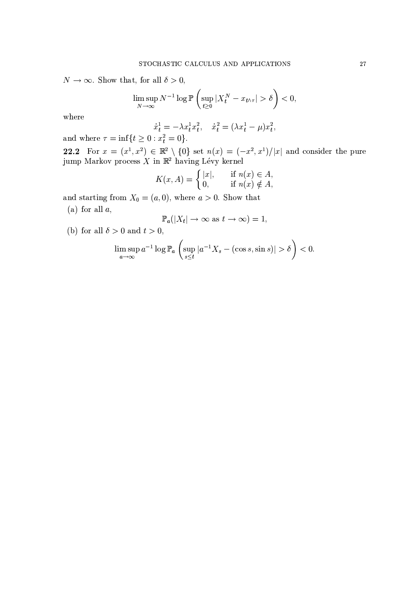$N \to \infty$ . Show that, for all  $\delta > 0$ ,

$$
\limsup_{N \to \infty} N^{-1} \log \mathbb{P}\left(\sup_{t \ge 0} |X_t^N - x_{t \wedge \tau}| > \delta\right) < 0,
$$

where

$$
\dot{x}_t^1 = -\lambda x_t^1 x_t^2, \quad \dot{x}_t^2 = (\lambda x_t^1 - \mu) x_t^2,
$$
  
0  $x_t^2 = 0$ 

and where  $\tau = \inf\{t \ge 0 : x_t^2 = 0\}.$ 

**22.2** For  $x = (x^1, x^2) \in \mathbb{R}^2 \setminus \{0\}$  set  $n(x) = (-x^2, x^1)/|x|$  and consider the pure jump Markov process X in  $\mathbb{R}^2$  having Lévy kernel

$$
K(x, A) = \begin{cases} |x|, & \text{if } n(x) \in A, \\ 0, & \text{if } n(x) \notin A, \end{cases}
$$

and starting from  $X_0 = (a, 0)$ , where  $a > 0$ . Show that

(a) for all  $a$ ,

$$
\mathbb{P}_a(|X_t| \to \infty \text{ as } t \to \infty) = 1
$$

(b) for all  $\delta > 0$  and  $t > 0$ ,

$$
\limsup_{a \to \infty} a^{-1} \log \mathbb{P}_a \left( \sup_{s \le t} |a^{-1} X_s - (\cos s, \sin s)| > \delta \right) < 0.
$$